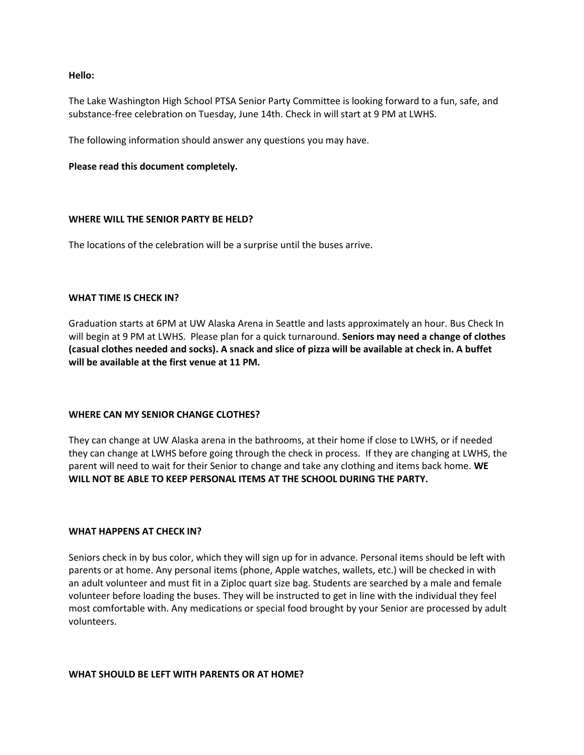### **Hello:**

The Lake Washington High School PTSA Senior Party Committee is looking forward to a fun, safe, and substance-free celebration on Tuesday, June 14th. Check in will start at 9 PM at LWHS.

The following information should answer any questions you may have.

### **Please read this document completely.**

## **WHERE WILL THE SENIOR PARTY BE HELD?**

The locations of the celebration will be a surprise until the buses arrive.

### **WHAT TIME IS CHECK IN?**

Graduation starts at 6PM at UW Alaska Arena in Seattle and lasts approximately an hour. Bus Check In will begin at 9 PM at LWHS. Please plan for a quick turnaround. **Seniors may need a change of clothes (casual clothes needed and socks). A snack and slice of pizza will be available at check in. A buffet will be available at the first venue at 11 PM.**

## **WHERE CAN MY SENIOR CHANGE CLOTHES?**

They can change at UW Alaska arena in the bathrooms, at their home if close to LWHS, or if needed they can change at LWHS before going through the check in process. If they are changing at LWHS, the parent will need to wait for their Senior to change and take any clothing and items back home. **WE WILL NOT BE ABLE TO KEEP PERSONAL ITEMS AT THE SCHOOL DURING THE PARTY.** 

### **WHAT HAPPENS AT CHECK IN?**

Seniors check in by bus color, which they will sign up for in advance. Personal items should be left with parents or at home. Any personal items (phone, Apple watches, wallets, etc.) will be checked in with an adult volunteer and must fit in a Ziploc quart size bag. Students are searched by a male and female volunteer before loading the buses. They will be instructed to get in line with the individual they feel most comfortable with. Any medications or special food brought by your Senior are processed by adult volunteers.

### **WHAT SHOULD BE LEFT WITH PARENTS OR AT HOME?**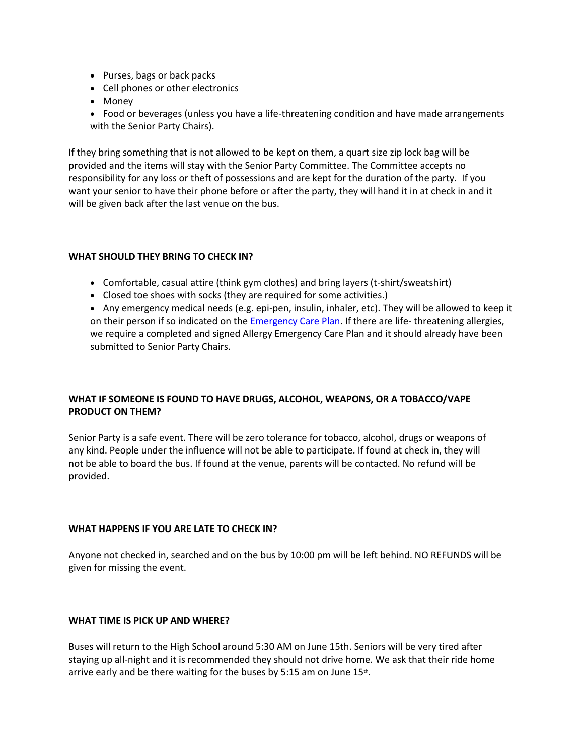- Purses, bags or back packs
- Cell phones or other electronics
- Money
- Food or beverages (unless you have a life-threatening condition and have made arrangements with the Senior Party Chairs).

If they bring something that is not allowed to be kept on them, a quart size zip lock bag will be provided and the items will stay with the Senior Party Committee. The Committee accepts no responsibility for any loss or theft of possessions and are kept for the duration of the party. If you want your senior to have their phone before or after the party, they will hand it in at check in and it will be given back after the last venue on the bus.

# **WHAT SHOULD THEY BRING TO CHECK IN?**

- Comfortable, casual attire (think gym clothes) and bring layers (t-shirt/sweatshirt)
- Closed toe shoes with socks (they are required for some activities.)

• Any emergency medical needs (e.g. epi-pen, insulin, inhaler, etc). They will be allowed to keep it on their person if so indicated on the [Emergency Care Plan.](http://r20.rs6.net/tn.jsp?f=001CuNAo1tKAjWaGwQ0I0GhHtn4Vg7tBPN5aNtE3KRJ6ehThyPQbacBMEKsLiZJAPnEsBqffioyLRuTiKER3x-Mplz5bQTtpiHi8HcdxzaIg_MVk7oXtsX_wQg3RB6yesCkoz14Vh8z1PJGN78Sz4fs3x5TluOBOv0xDsOKZuYFBq-GPy-TETUfaNAAi-vWHaI98-9MjcKDc-Y2Abfr_NggD0PCdmGhkxf_P9xud8HC71g%3D&c=cIJN2uAYloYEY1lETZySAGI0Y0OTzvgbvMQ7dOBx9QCXHvM-oN28rg%3D%3D&ch=vUBDxr3FqQ2jlJ5X0tK-k9rBsvZ4PPL4wC9LfsIuHAVmmOiMAG2lJA%3D%3D) If there are life- threatening allergies, we require a completed and signed Allergy Emergency Care Plan and it should already have been submitted to Senior Party Chairs.

# **WHAT IF SOMEONE IS FOUND TO HAVE DRUGS, ALCOHOL, WEAPONS, OR A TOBACCO/VAPE PRODUCT ON THEM?**

Senior Party is a safe event. There will be zero tolerance for tobacco, alcohol, drugs or weapons of any kind. People under the influence will not be able to participate. If found at check in, they will not be able to board the bus. If found at the venue, parents will be contacted. No refund will be provided.

# **WHAT HAPPENS IF YOU ARE LATE TO CHECK IN?**

Anyone not checked in, searched and on the bus by 10:00 pm will be left behind. NO REFUNDS will be given for missing the event.

# **WHAT TIME IS PICK UP AND WHERE?**

Buses will return to the High School around 5:30 AM on June 15th. Seniors will be very tired after staying up all-night and it is recommended they should not drive home. We ask that their ride home arrive early and be there waiting for the buses by 5:15 am on June  $15$ th.